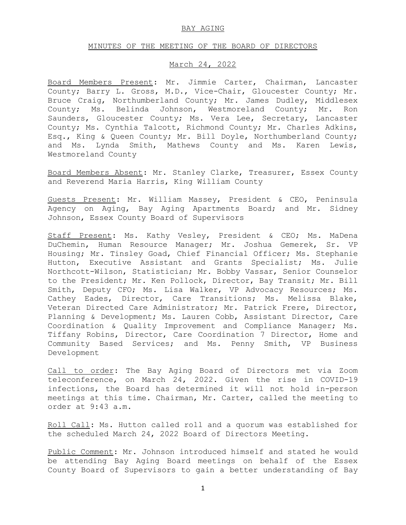### BAY AGING

#### MINUTES OF THE MEETING OF THE BOARD OF DIRECTORS

#### March 24, 2022

Board Members Present: Mr. Jimmie Carter, Chairman, Lancaster County; Barry L. Gross, M.D., Vice-Chair, Gloucester County; Mr. Bruce Craig, Northumberland County; Mr. James Dudley, Middlesex County; Ms. Belinda Johnson, Westmoreland County; Mr. Ron Saunders, Gloucester County; Ms. Vera Lee, Secretary, Lancaster County; Ms. Cynthia Talcott, Richmond County; Mr. Charles Adkins, Esq., King & Queen County; Mr. Bill Doyle, Northumberland County; and Ms. Lynda Smith, Mathews County and Ms. Karen Lewis, Westmoreland County

Board Members Absent: Mr. Stanley Clarke, Treasurer, Essex County and Reverend Maria Harris, King William County

Guests Present: Mr. William Massey, President & CEO, Peninsula Agency on Aging, Bay Aging Apartments Board; and Mr. Sidney Johnson, Essex County Board of Supervisors

Staff Present: Ms. Kathy Vesley, President & CEO; Ms. MaDena DuChemin, Human Resource Manager; Mr. Joshua Gemerek, Sr. VP Housing; Mr. Tinsley Goad, Chief Financial Officer; Ms. Stephanie Hutton, Executive Assistant and Grants Specialist; Ms. Julie Northcott-Wilson, Statistician; Mr. Bobby Vassar, Senior Counselor to the President; Mr. Ken Pollock, Director, Bay Transit; Mr. Bill Smith, Deputy CFO; Ms. Lisa Walker, VP Advocacy Resources; Ms. Cathey Eades, Director, Care Transitions; Ms. Melissa Blake, Veteran Directed Care Administrator; Mr. Patrick Frere, Director, Planning & Development; Ms. Lauren Cobb, Assistant Director, Care Coordination & Quality Improvement and Compliance Manager; Ms. Tiffany Robins, Director, Care Coordination 7 Director, Home and Community Based Services; and Ms. Penny Smith, VP Business Development

Call to order: The Bay Aging Board of Directors met via Zoom teleconference, on March 24, 2022. Given the rise in COVID-19 infections, the Board has determined it will not hold in-person meetings at this time. Chairman, Mr. Carter, called the meeting to order at 9:43 a.m.

Roll Call: Ms. Hutton called roll and a quorum was established for the scheduled March 24, 2022 Board of Directors Meeting.

Public Comment: Mr. Johnson introduced himself and stated he would be attending Bay Aging Board meetings on behalf of the Essex County Board of Supervisors to gain a better understanding of Bay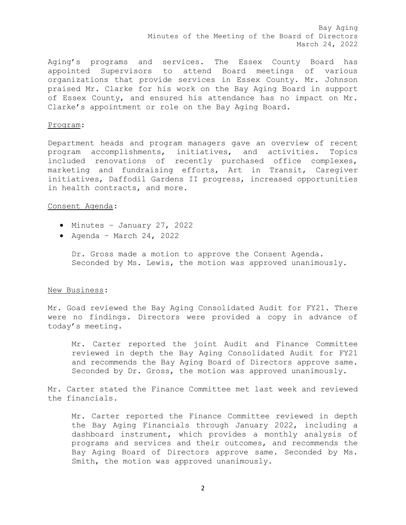Bay Aging Minutes of the Meeting of the Board of Directors March 24, 2022

Aging's programs and services. The Essex County Board has appointed Supervisors to attend Board meetings of various organizations that provide services in Essex County. Mr. Johnson praised Mr. Clarke for his work on the Bay Aging Board in support of Essex County, and ensured his attendance has no impact on Mr. Clarke's appointment or role on the Bay Aging Board.

### Program:

Department heads and program managers gave an overview of recent program accomplishments, initiatives, and activities. Topics included renovations of recently purchased office complexes, marketing and fundraising efforts, Art in Transit, Caregiver initiatives, Daffodil Gardens II progress, increased opportunities in health contracts, and more.

# Consent Agenda:

- Minutes January 27, 2022
- $\bullet$  Agenda March 24, 2022

Dr. Gross made a motion to approve the Consent Agenda. Seconded by Ms. Lewis, the motion was approved unanimously.

## New Business:

Mr. Goad reviewed the Bay Aging Consolidated Audit for FY21. There were no findings. Directors were provided a copy in advance of today's meeting.

Mr. Carter reported the joint Audit and Finance Committee reviewed in depth the Bay Aging Consolidated Audit for FY21 and recommends the Bay Aging Board of Directors approve same. Seconded by Dr. Gross, the motion was approved unanimously.

Mr. Carter stated the Finance Committee met last week and reviewed the financials.

Mr. Carter reported the Finance Committee reviewed in depth the Bay Aging Financials through January 2022, including a dashboard instrument, which provides a monthly analysis of programs and services and their outcomes, and recommends the Bay Aging Board of Directors approve same. Seconded by Ms. Smith, the motion was approved unanimously.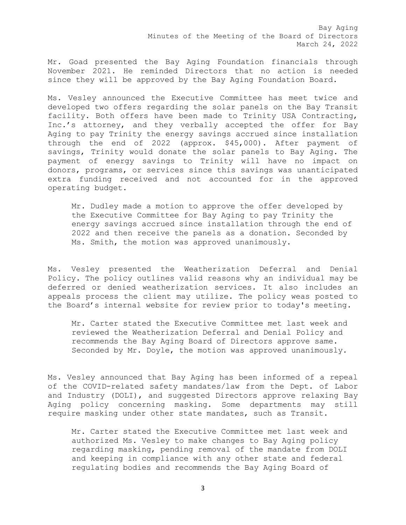Bay Aging Minutes of the Meeting of the Board of Directors March 24, 2022

Mr. Goad presented the Bay Aging Foundation financials through November 2021. He reminded Directors that no action is needed since they will be approved by the Bay Aging Foundation Board.

Ms. Vesley announced the Executive Committee has meet twice and developed two offers regarding the solar panels on the Bay Transit facility. Both offers have been made to Trinity USA Contracting, Inc.'s attorney, and they verbally accepted the offer for Bay Aging to pay Trinity the energy savings accrued since installation through the end of 2022 (approx. \$45,000). After payment of savings, Trinity would donate the solar panels to Bay Aging. The payment of energy savings to Trinity will have no impact on donors, programs, or services since this savings was unanticipated extra funding received and not accounted for in the approved operating budget.

Mr. Dudley made a motion to approve the offer developed by the Executive Committee for Bay Aging to pay Trinity the energy savings accrued since installation through the end of 2022 and then receive the panels as a donation. Seconded by Ms. Smith, the motion was approved unanimously.

Ms. Vesley presented the Weatherization Deferral and Denial Policy. The policy outlines valid reasons why an individual may be deferred or denied weatherization services. It also includes an appeals process the client may utilize. The policy weas posted to the Board's internal website for review prior to today's meeting.

Mr. Carter stated the Executive Committee met last week and reviewed the Weatherization Deferral and Denial Policy and recommends the Bay Aging Board of Directors approve same. Seconded by Mr. Doyle, the motion was approved unanimously.

Ms. Vesley announced that Bay Aging has been informed of a repeal of the COVID-related safety mandates/law from the Dept. of Labor and Industry (DOLI), and suggested Directors approve relaxing Bay Aging policy concerning masking. Some departments may still require masking under other state mandates, such as Transit.

Mr. Carter stated the Executive Committee met last week and authorized Ms. Vesley to make changes to Bay Aging policy regarding masking, pending removal of the mandate from DOLI and keeping in compliance with any other state and federal regulating bodies and recommends the Bay Aging Board of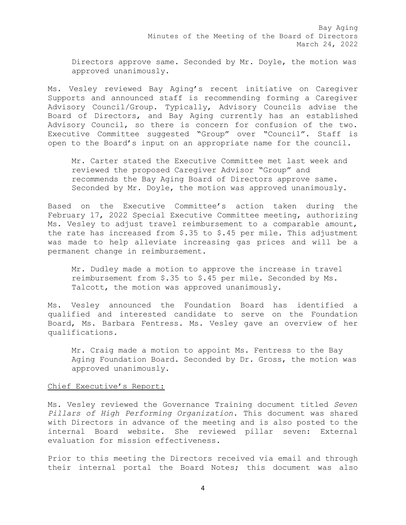Directors approve same. Seconded by Mr. Doyle, the motion was approved unanimously.

Ms. Vesley reviewed Bay Aging's recent initiative on Caregiver Supports and announced staff is recommending forming a Caregiver Advisory Council/Group. Typically, Advisory Councils advise the Board of Directors, and Bay Aging currently has an established Advisory Council, so there is concern for confusion of the two. Executive Committee suggested "Group" over "Council". Staff is open to the Board's input on an appropriate name for the council.

Mr. Carter stated the Executive Committee met last week and reviewed the proposed Caregiver Advisor "Group" and recommends the Bay Aging Board of Directors approve same. Seconded by Mr. Doyle, the motion was approved unanimously.

Based on the Executive Committee's action taken during the February 17, 2022 Special Executive Committee meeting, authorizing Ms. Vesley to adjust travel reimbursement to a comparable amount, the rate has increased from \$.35 to \$.45 per mile. This adjustment was made to help alleviate increasing gas prices and will be a permanent change in reimbursement.

Mr. Dudley made a motion to approve the increase in travel reimbursement from \$.35 to \$.45 per mile. Seconded by Ms. Talcott, the motion was approved unanimously.

Ms. Vesley announced the Foundation Board has identified a qualified and interested candidate to serve on the Foundation Board, Ms. Barbara Fentress. Ms. Vesley gave an overview of her qualifications.

Mr. Craig made a motion to appoint Ms. Fentress to the Bay Aging Foundation Board. Seconded by Dr. Gross, the motion was approved unanimously.

## Chief Executive's Report:

Ms. Vesley reviewed the Governance Training document titled *Seven Pillars of High Performing Organization*. This document was shared with Directors in advance of the meeting and is also posted to the internal Board website. She reviewed pillar seven: External evaluation for mission effectiveness.

Prior to this meeting the Directors received via email and through their internal portal the Board Notes; this document was also